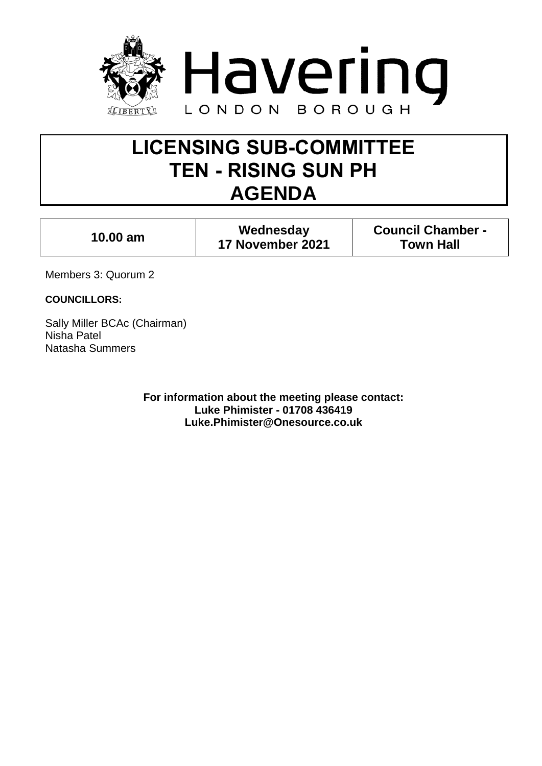

# **LICENSING SUB-COMMITTEE TEN - RISING SUN PH AGENDA**

| Wednesday<br>$10.00$ am<br>17 November 2021 | <b>Council Chamber -</b><br><b>Town Hall</b> |
|---------------------------------------------|----------------------------------------------|
|---------------------------------------------|----------------------------------------------|

Members 3: Quorum 2

**COUNCILLORS:**

Sally Miller BCAc (Chairman) Nisha Patel Natasha Summers

> **For information about the meeting please contact: Luke Phimister - 01708 436419 Luke.Phimister@Onesource.co.uk**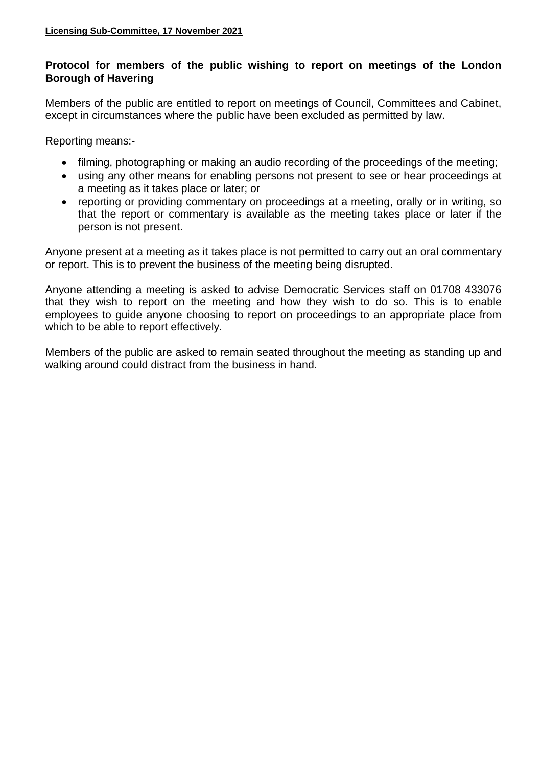# **Protocol for members of the public wishing to report on meetings of the London Borough of Havering**

Members of the public are entitled to report on meetings of Council, Committees and Cabinet, except in circumstances where the public have been excluded as permitted by law.

Reporting means:-

- filming, photographing or making an audio recording of the proceedings of the meeting;
- using any other means for enabling persons not present to see or hear proceedings at a meeting as it takes place or later; or
- reporting or providing commentary on proceedings at a meeting, orally or in writing, so that the report or commentary is available as the meeting takes place or later if the person is not present.

Anyone present at a meeting as it takes place is not permitted to carry out an oral commentary or report. This is to prevent the business of the meeting being disrupted.

Anyone attending a meeting is asked to advise Democratic Services staff on 01708 433076 that they wish to report on the meeting and how they wish to do so. This is to enable employees to guide anyone choosing to report on proceedings to an appropriate place from which to be able to report effectively.

Members of the public are asked to remain seated throughout the meeting as standing up and walking around could distract from the business in hand.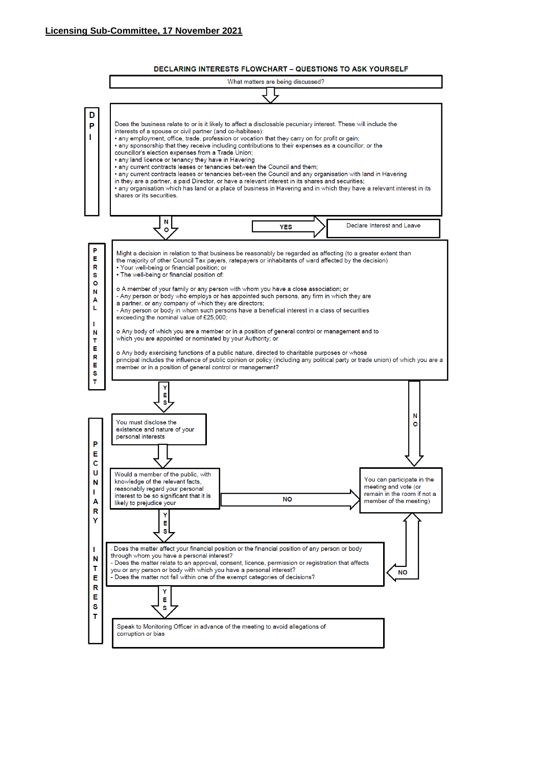

**DECLARING INTERESTS FLOWCHART - QUESTIONS TO ASK YOURSELF**